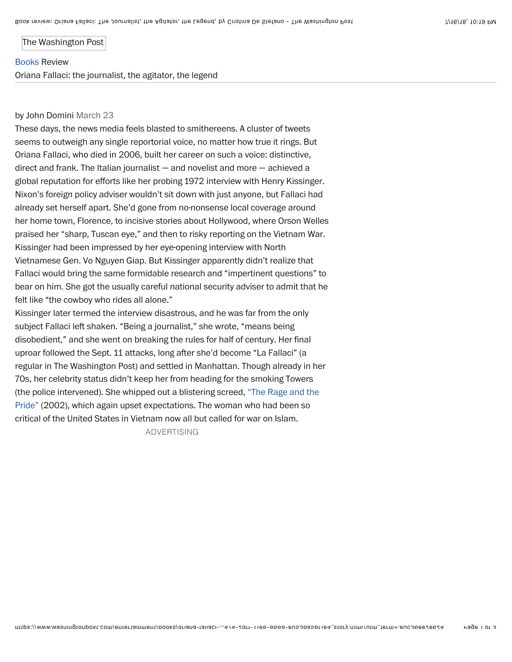The Washington Post

## [Books](https://www.washingtonpost.com/entertainment/books) Review Oriana Fallaci: the journalist, the agitator, the legend

### by John Domini March 23

These days, the news media feels blasted to smithereens. A cluster of tweets seems to outweigh any single reportorial voice, no matter how true it rings. But Oriana Fallaci, who died in 2006, built her career on such a voice: distinctive, direct and frank. The Italian journalist — and novelist and more — achieved a global reputation for efforts like her probing 1972 interview with Henry Kissinger. Nixon's foreign policy adviser wouldn't sit down with just anyone, but Fallaci had already set herself apart. She'd gone from no-nonsense local coverage around her home town, Florence, to incisive stories about Hollywood, where Orson Welles praised her "sharp, Tuscan eye," and then to risky reporting on the Vietnam War. Kissinger had been impressed by her eye-opening interview with North Vietnamese Gen. Vo Nguyen Giap. But Kissinger apparently didn't realize that Fallaci would bring the same formidable research and "impertinent questions" to bear on him. She got the usually careful national security adviser to admit that he felt like "the cowboy who rides all alone."

Kissinger later termed the interview disastrous, and he was far from the only subject Fallaci left shaken. "Being a journalist," she wrote, "means being disobedient," and she went on breaking the rules for half of century. Her final uproar followed the Sept. 11 attacks, long after she'd become "La Fallaci" (a regular in The Washington Post) and settled in Manhattan. Though already in her 70s, her celebrity status didn't keep her from heading for the smoking Towers [\(the police intervened\). She whipped out a blistering screed, "The Rage and the](https://www.amazon.com/dp/0847825043/?tag=thewaspos09-20) Pride" (2002), which again upset expectations. The woman who had been so critical of the United States in Vietnam now all but called for war on Islam.

ADVERTISING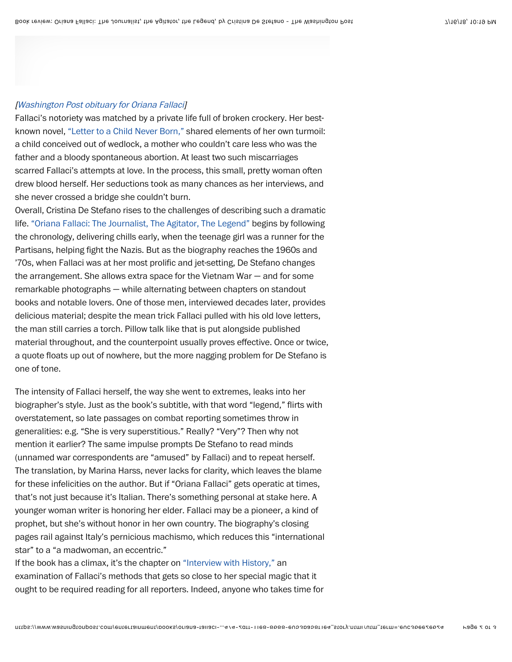#### [\[Washington Post obituary for Oriana Fallaci\]](http://www.washingtonpost.com/wp-dyn/content/article/2006/09/15/AR2006091501145.html)

Fallaci's notoriety was matched by a private life full of broken crockery. Her bestknown novel, ["Letter to a Child Never Born,"](https://www.amazon.com/dp/0671451626/?tag=thewaspos09-20) shared elements of her own turmoil: a child conceived out of wedlock, a mother who couldn't care less who was the father and a bloody spontaneous abortion. At least two such miscarriages scarred Fallaci's attempts at love. In the process, this small, pretty woman often drew blood herself. Her seductions took as many chances as her interviews, and she never crossed a bridge she couldn't burn.

Overall, Cristina De Stefano rises to the challenges of describing such a dramatic life. ["Oriana Fallaci: The Journalist, The Agitator, The Legend"](https://read.amazon.com/kp/embed?asin=B01MSA68E4&tag=thewaspos09-20&linkcode=kpe&preview=newtab) begins by following the chronology, delivering chills early, when the teenage girl was a runner for the Partisans, helping fight the Nazis. But as the biography reaches the 1960s and '70s, when Fallaci was at her most prolific and jet-setting, De Stefano changes the arrangement. She allows extra space for the Vietnam War — and for some remarkable photographs — while alternating between chapters on standout books and notable lovers. One of those men, interviewed decades later, provides delicious material; despite the mean trick Fallaci pulled with his old love letters, the man still carries a torch. Pillow talk like that is put alongside published material throughout, and the counterpoint usually proves effective. Once or twice, a quote floats up out of nowhere, but the more nagging problem for De Stefano is one of tone.

The intensity of Fallaci herself, the way she went to extremes, leaks into her biographer's style. Just as the book's subtitle, with that word "legend," flirts with overstatement, so late passages on combat reporting sometimes throw in generalities: e.g. "She is very superstitious." Really? "Very"? Then why not mention it earlier? The same impulse prompts De Stefano to read minds (unnamed war correspondents are "amused" by Fallaci) and to repeat herself. The translation, by Marina Harss, never lacks for clarity, which leaves the blame for these infelicities on the author. But if "Oriana Fallaci" gets operatic at times, that's not just because it's Italian. There's something personal at stake here. A younger woman writer is honoring her elder. Fallaci may be a pioneer, a kind of prophet, but she's without honor in her own country. The biography's closing pages rail against Italy's pernicious machismo, which reduces this "international star" to a "a madwoman, an eccentric."

If the book has a climax, it's the chapter on ["Interview with History,"](https://www.amazon.com/dp/0871405903/?tag=thewaspos09-20) an examination of Fallaci's methods that gets so close to her special magic that it ought to be required reading for all reporters. Indeed, anyone who takes time for